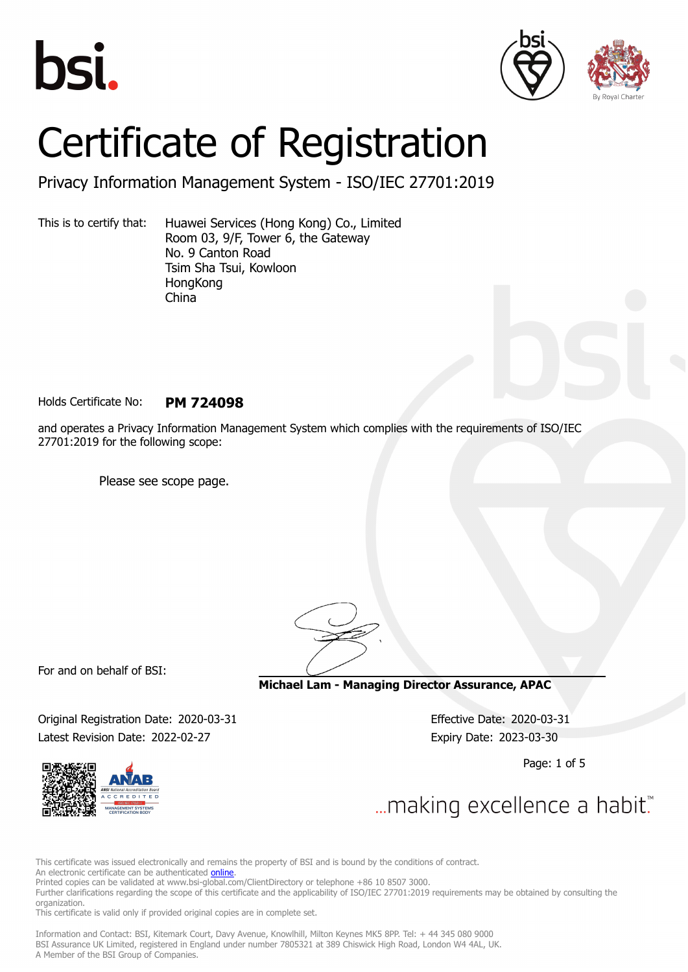





# Certificate of Registration

Privacy Information Management System - ISO/IEC 27701:2019

This is to certify that: Huawei Services (Hong Kong) Co., Limited Room 03, 9/F, Tower 6, the Gateway No. 9 Canton Road Tsim Sha Tsui, Kowloon **HongKong** China

Holds Certificate No: **PM 724098**

and operates a Privacy Information Management System which complies with the requirements of ISO/IEC 27701:2019 for the following scope:

Please see scope page.

For and on behalf of BSI:

**Michael Lam - Managing Director Assurance, APAC**

Original Registration Date: 2020-03-31 Effective Date: 2020-03-31 Latest Revision Date: 2022-02-27 Expiry Date: 2023-03-30

Page: 1 of 5





This certificate was issued electronically and remains the property of BSI and is bound by the conditions of contract.

An electronic certificate can be authenticated **[online](https://pgplus.bsigroup.com/CertificateValidation/CertificateValidator.aspx?CertificateNumber=PM+724098&ReIssueDate=27%2f02%2f2022&Template=cnen)**.

Printed copies can be validated at www.bsi-global.com/ClientDirectory or telephone +86 10 8507 3000.

Further clarifications regarding the scope of this certificate and the applicability of ISO/IEC 27701:2019 requirements may be obtained by consulting the organization.

This certificate is valid only if provided original copies are in complete set.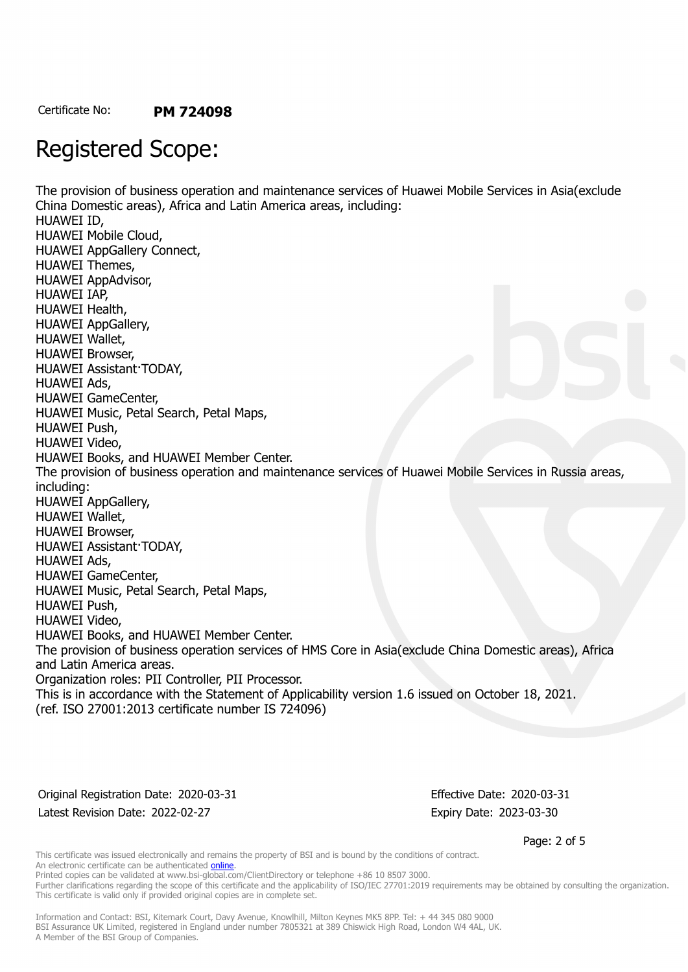## Registered Scope:

The provision of business operation and maintenance services of Huawei Mobile Services in Asia(exclude China Domestic areas), Africa and Latin America areas, including: HUAWEI ID, HUAWEI Mobile Cloud, HUAWEI AppGallery Connect, HUAWEI Themes, HUAWEI AppAdvisor, HUAWEI IAP, HUAWEI Health, HUAWEI AppGallery, HUAWEI Wallet, HUAWEI Browser, HUAWEI Assistant·TODAY, HUAWEI Ads, HUAWEI GameCenter, HUAWEI Music, Petal Search, Petal Maps, HUAWEI Push, HUAWEI Video, HUAWEI Books, and HUAWEI Member Center. The provision of business operation and maintenance services of Huawei Mobile Services in Russia areas, including: HUAWEI AppGallery, HUAWEI Wallet, HUAWEI Browser, HUAWEI Assistant·TODAY, HUAWEI Ads, HUAWEI GameCenter, HUAWEI Music, Petal Search, Petal Maps, HUAWEI Push, HUAWEI Video, HUAWEI Books, and HUAWEI Member Center. The provision of business operation services of HMS Core in Asia(exclude China Domestic areas), Africa and Latin America areas. Organization roles: PII Controller, PII Processor. This is in accordance with the Statement of Applicability version 1.6 issued on October 18, 2021. (ref. ISO 27001:2013 certificate number IS 724096)

Original Registration Date: 2020-03-31 Effective Date: 2020-03-31 Latest Revision Date: 2022-02-27 Expiry Date: 2023-03-30

Page: 2 of 5

This certificate was issued electronically and remains the property of BSI and is bound by the conditions of contract. An electronic certificate can be authenticated **[online](https://pgplus.bsigroup.com/CertificateValidation/CertificateValidator.aspx?CertificateNumber=PM+724098&ReIssueDate=27%2f02%2f2022&Template=cnen)**.

Printed copies can be validated at www.bsi-global.com/ClientDirectory or telephone +86 10 8507 3000.

Further clarifications regarding the scope of this certificate and the applicability of ISO/IEC 27701:2019 requirements may be obtained by consulting the organization. This certificate is valid only if provided original copies are in complete set.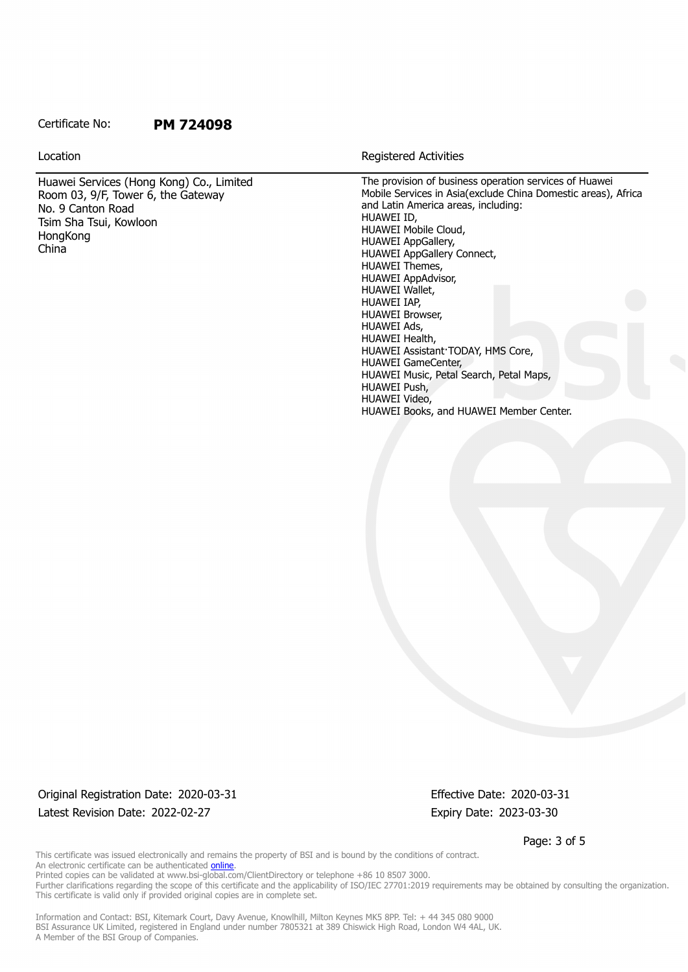## Certificate No: **PM 724098**

Huawei Services (Hong Kong) Co., Limited Room 03, 9/F, Tower 6, the Gateway No. 9 Canton Road Tsim Sha Tsui, Kowloon **HongKong** China

Location **Exercise 2018 Location Registered Activities** 

The provision of business operation services of Huawei Mobile Services in Asia(exclude China Domestic areas), Africa and Latin America areas, including: HUAWEI ID, HUAWEI Mobile Cloud, HUAWEI AppGallery, HUAWEI AppGallery Connect, HUAWEI Themes, HUAWEI AppAdvisor, HUAWEI Wallet, HUAWEI IAP, HUAWEI Browser, HUAWEI Ads, HUAWEI Health, HUAWEI Assistant·TODAY, HMS Core, HUAWEI GameCenter, HUAWEI Music, Petal Search, Petal Maps, HUAWEI Push, HUAWEI Video, HUAWEI Books, and HUAWEI Member Center.

Original Registration Date: 2020-03-31 Effective Date: 2020-03-31 Latest Revision Date: 2022-02-27 Expiry Date: 2023-03-30

Page: 3 of 5

This certificate was issued electronically and remains the property of BSI and is bound by the conditions of contract. An electronic certificate can be authenticated **[online](https://pgplus.bsigroup.com/CertificateValidation/CertificateValidator.aspx?CertificateNumber=PM+724098&ReIssueDate=27%2f02%2f2022&Template=cnen)**. Printed copies can be validated at www.bsi-global.com/ClientDirectory or telephone +86 10 8507 3000.

Further clarifications regarding the scope of this certificate and the applicability of ISO/IEC 27701:2019 requirements may be obtained by consulting the organization. This certificate is valid only if provided original copies are in complete set.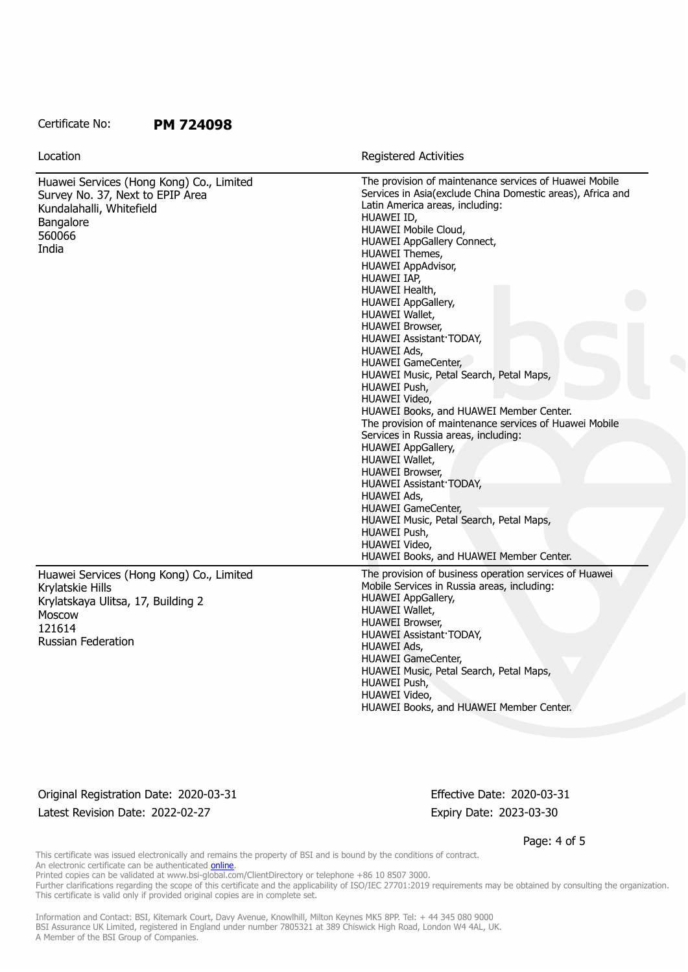### Certificate No: **PM 724098**

| Location                                                                                                                                                   | <b>Registered Activities</b>                                                                                                                                                                                                                                                                                                                                                                                                                                                                                                                                                                                                                                                                                                                                                                                                                                                                                                                  |
|------------------------------------------------------------------------------------------------------------------------------------------------------------|-----------------------------------------------------------------------------------------------------------------------------------------------------------------------------------------------------------------------------------------------------------------------------------------------------------------------------------------------------------------------------------------------------------------------------------------------------------------------------------------------------------------------------------------------------------------------------------------------------------------------------------------------------------------------------------------------------------------------------------------------------------------------------------------------------------------------------------------------------------------------------------------------------------------------------------------------|
| Huawei Services (Hong Kong) Co., Limited<br>Survey No. 37, Next to EPIP Area<br>Kundalahalli, Whitefield<br>Bangalore<br>560066<br>India                   | The provision of maintenance services of Huawei Mobile<br>Services in Asia(exclude China Domestic areas), Africa and<br>Latin America areas, including:<br>HUAWEI ID,<br>HUAWEI Mobile Cloud,<br>HUAWEI AppGallery Connect,<br>HUAWEI Themes,<br>HUAWEI AppAdvisor,<br>HUAWEI IAP,<br>HUAWEI Health,<br><b>HUAWEI AppGallery,</b><br>HUAWEI Wallet,<br><b>HUAWEI Browser,</b><br>HUAWEI Assistant TODAY,<br>HUAWEI Ads,<br><b>HUAWEI GameCenter,</b><br>HUAWEI Music, Petal Search, Petal Maps,<br>HUAWEI Push,<br>HUAWEI Video,<br>HUAWEI Books, and HUAWEI Member Center.<br>The provision of maintenance services of Huawei Mobile<br>Services in Russia areas, including:<br>HUAWEI AppGallery,<br>HUAWEI Wallet,<br><b>HUAWEI Browser,</b><br>HUAWEI Assistant TODAY,<br>HUAWEI Ads,<br><b>HUAWEI GameCenter,</b><br>HUAWEI Music, Petal Search, Petal Maps,<br>HUAWEI Push,<br>HUAWEI Video,<br>HUAWEI Books, and HUAWEI Member Center. |
| Huawei Services (Hong Kong) Co., Limited<br>Krylatskie Hills<br>Krylatskaya Ulitsa, 17, Building 2<br><b>Moscow</b><br>121614<br><b>Russian Federation</b> | The provision of business operation services of Huawei<br>Mobile Services in Russia areas, including:<br><b>HUAWEI AppGallery,</b><br>HUAWEI Wallet,<br><b>HUAWEI Browser,</b><br>HUAWEI Assistant TODAY,<br>HUAWEI Ads,<br>HUAWEI GameCenter,<br>HUAWEI Music, Petal Search, Petal Maps,<br>HUAWEI Push,<br>HUAWEI Video,<br>HUAWEI Books, and HUAWEI Member Center.                                                                                                                                                                                                                                                                                                                                                                                                                                                                                                                                                                         |

## Original Registration Date: 2020-03-31 Effective Date: 2020-03-31 Latest Revision Date: 2022-02-27 Expiry Date: 2023-03-30

Page: 4 of 5

This certificate was issued electronically and remains the property of BSI and is bound by the conditions of contract. An electronic certificate can be authenticated [online](https://pgplus.bsigroup.com/CertificateValidation/CertificateValidator.aspx?CertificateNumber=PM+724098&ReIssueDate=27%2f02%2f2022&Template=cnen).

Printed copies can be validated at www.bsi-global.com/ClientDirectory or telephone +86 10 8507 3000.

Further clarifications regarding the scope of this certificate and the applicability of ISO/IEC 27701:2019 requirements may be obtained by consulting the organization. This certificate is valid only if provided original copies are in complete set.